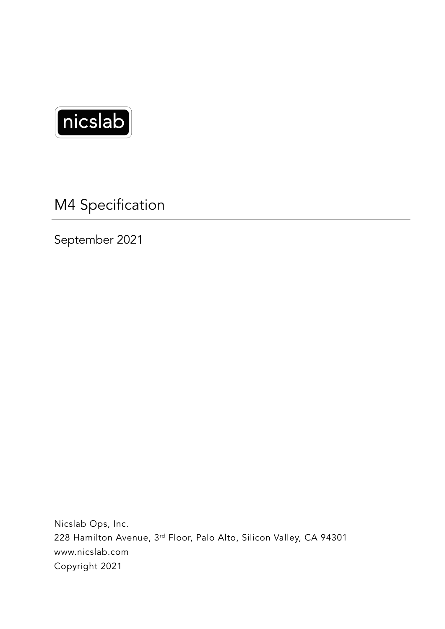

M4 Specification

September 2021

Nicslab Ops, Inc. 228 Hamilton Avenue, 3rd Floor, Palo Alto, Silicon Valley, CA 94301 www.nicslab.com Copyright 2021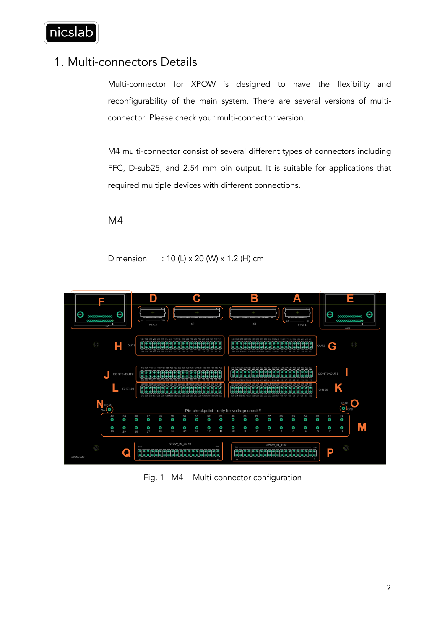

## 1. Multi-connectors Details

Multi-connector for XPOW is designed to have the flexibility and reconfigurability of the main system. There are several versions of multiconnector. Please check your multi-connector version.

M4 multi-connector consist of several different types of connectors including FFC, D-sub25, and 2.54 mm pin output. It is suitable for applications that required multiple devices with different connections.

## M4

Dimension : 10 (L) x 20 (W) x 1.2 (H) cm



Fig. 1 M4 - Multi-connector configuration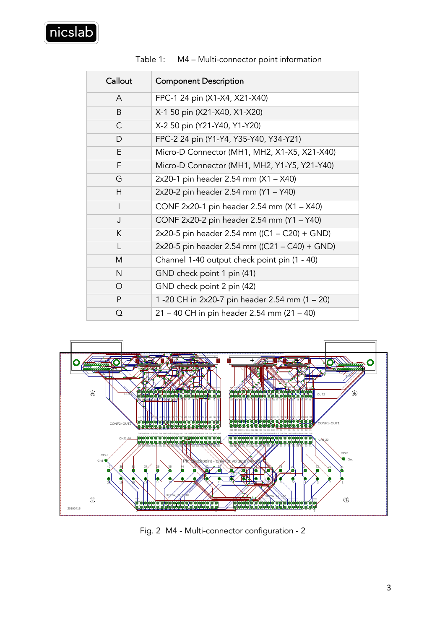| Callout   | <b>Component Description</b>                   |
|-----------|------------------------------------------------|
| A         | FPC-1 24 pin (X1-X4, X21-X40)                  |
| B         | X-1 50 pin (X21-X40, X1-X20)                   |
| C         | X-2 50 pin (Y21-Y40, Y1-Y20)                   |
| D         | FPC-2 24 pin (Y1-Y4, Y35-Y40, Y34-Y21)         |
| E.        | Micro-D Connector (MH1, MH2, X1-X5, X21-X40)   |
| F         | Micro-D Connector (MH1, MH2, Y1-Y5, Y21-Y40)   |
| G         | 2x20-1 pin header 2.54 mm (X1 - X40)           |
| H         | 2x20-2 pin header 2.54 mm (Y1 - Y40)           |
| I         | CONF 2x20-1 pin header 2.54 mm (X1 - X40)      |
| J         | CONF 2x20-2 pin header 2.54 mm (Y1 - Y40)      |
| K         | 2x20-5 pin header 2.54 mm ((C1 – C20) + GND)   |
| L         | 2x20-5 pin header 2.54 mm ((C21 - C40) + GND)  |
| M         | Channel 1-40 output check point pin (1 - 40)   |
| N         | GND check point 1 pin (41)                     |
| O         | GND check point 2 pin (42)                     |
| ${\sf P}$ | 1 -20 CH in 2x20-7 pin header 2.54 mm (1 - 20) |
| Q         | 21 – 40 CH in pin header 2.54 mm (21 – 40)     |

Table 1: M4 – Multi-connector point information



Fig. 2 M4 - Multi-connector configuration - 2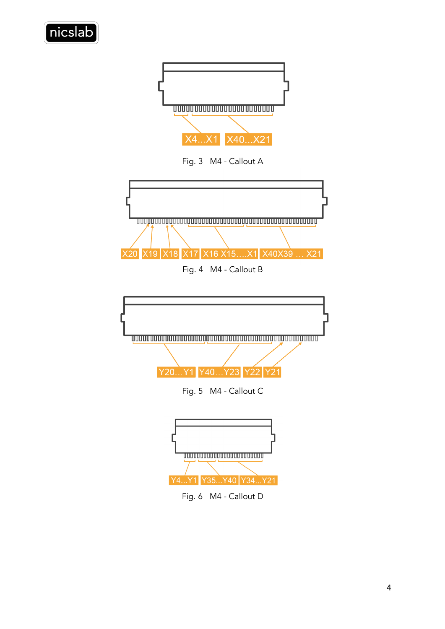



Fig. 3 M4 - Callout A



Fig. 4 M4 - Callout B



Fig. 6 M4 - Callout D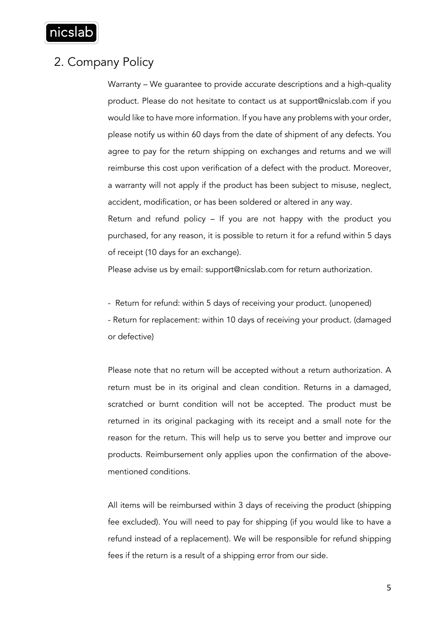

## 2. Company Policy

Warranty – We guarantee to provide accurate descriptions and a high-quality product. Please do not hesitate to contact us at support@nicslab.com if you would like to have more information. If you have any problems with your order, please notify us within 60 days from the date of shipment of any defects. You agree to pay for the return shipping on exchanges and returns and we will reimburse this cost upon verification of a defect with the product. Moreover, a warranty will not apply if the product has been subject to misuse, neglect, accident, modification, or has been soldered or altered in any way.

Return and refund policy – If you are not happy with the product you purchased, for any reason, it is possible to return it for a refund within 5 days of receipt (10 days for an exchange).

Please advise us by email: support@nicslab.com for return authorization.

- Return for refund: within 5 days of receiving your product. (unopened) - Return for replacement: within 10 days of receiving your product. (damaged or defective)

Please note that no return will be accepted without a return authorization. A return must be in its original and clean condition. Returns in a damaged, scratched or burnt condition will not be accepted. The product must be returned in its original packaging with its receipt and a small note for the reason for the return. This will help us to serve you better and improve our products. Reimbursement only applies upon the confirmation of the abovementioned conditions.

All items will be reimbursed within 3 days of receiving the product (shipping fee excluded). You will need to pay for shipping (if you would like to have a refund instead of a replacement). We will be responsible for refund shipping fees if the return is a result of a shipping error from our side.